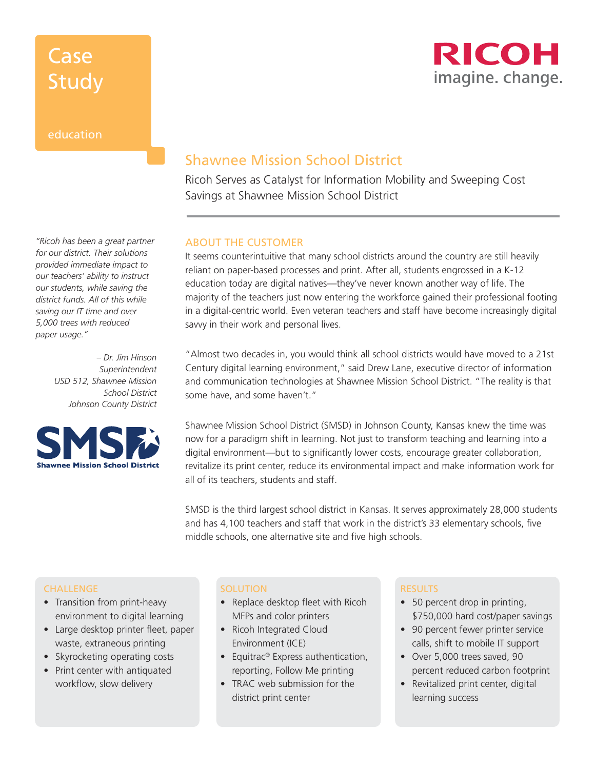# Case Study



### education

*"Ricoh has been a great partner for our district. Their solutions provided immediate impact to our teachers' ability to instruct our students, while saving the district funds. All of this while saving our IT time and over 5,000 trees with reduced paper usage."* 

> *– Dr. Jim Hinson Superintendent USD 512, Shawnee Mission School District Johnson County District*



### Shawnee Mission School District

Ricoh Serves as Catalyst for Information Mobility and Sweeping Cost Savings at Shawnee Mission School District

### ABOUT THE CUSTOMER

It seems counterintuitive that many school districts around the country are still heavily reliant on paper-based processes and print. After all, students engrossed in a K-12 education today are digital natives—they've never known another way of life. The majority of the teachers just now entering the workforce gained their professional footing in a digital-centric world. Even veteran teachers and staff have become increasingly digital savvy in their work and personal lives.

"Almost two decades in, you would think all school districts would have moved to a 21st Century digital learning environment," said Drew Lane, executive director of information and communication technologies at Shawnee Mission School District. "The reality is that some have, and some haven't."

Shawnee Mission School District (SMSD) in Johnson County, Kansas knew the time was now for a paradigm shift in learning. Not just to transform teaching and learning into a digital environment—but to significantly lower costs, encourage greater collaboration, revitalize its print center, reduce its environmental impact and make information work for all of its teachers, students and staff.

SMSD is the third largest school district in Kansas. It serves approximately 28,000 students and has 4,100 teachers and staff that work in the district's 33 elementary schools, five middle schools, one alternative site and five high schools.

#### **CHALLENGE**

- Transition from print-heavy environment to digital learning
- Large desktop printer fleet, paper waste, extraneous printing
- Skyrocketing operating costs
- Print center with antiquated workflow, slow delivery

#### **SOLUTION**

- Replace desktop fleet with Ricoh MFPs and color printers
- Ricoh Integrated Cloud Environment (ICE)
- Equitrac® Express authentication, reporting, Follow Me printing
- TRAC web submission for the district print center

#### RESULTS

- 50 percent drop in printing, \$750,000 hard cost/paper savings
- 90 percent fewer printer service calls, shift to mobile IT support
- Over 5,000 trees saved, 90 percent reduced carbon footprint
- Revitalized print center, digital learning success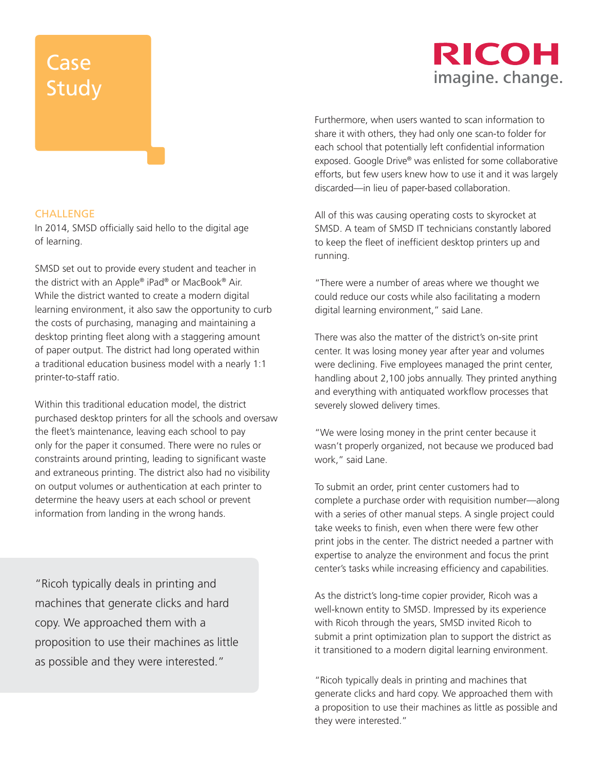# **Case Study**

# RICOH imagine. change.

Furthermore, when users wanted to scan information to share it with others, they had only one scan-to folder for each school that potentially left confidential information exposed. Google Drive® was enlisted for some collaborative efforts, but few users knew how to use it and it was largely discarded—in lieu of paper-based collaboration.

All of this was causing operating costs to skyrocket at SMSD. A team of SMSD IT technicians constantly labored to keep the fleet of inefficient desktop printers up and running.

"There were a number of areas where we thought we could reduce our costs while also facilitating a modern digital learning environment," said Lane.

There was also the matter of the district's on-site print center. It was losing money year after year and volumes were declining. Five employees managed the print center, handling about 2,100 jobs annually. They printed anything and everything with antiquated workflow processes that severely slowed delivery times.

"We were losing money in the print center because it wasn't properly organized, not because we produced bad work," said Lane.

To submit an order, print center customers had to complete a purchase order with requisition number—along with a series of other manual steps. A single project could take weeks to finish, even when there were few other print jobs in the center. The district needed a partner with expertise to analyze the environment and focus the print center's tasks while increasing efficiency and capabilities.

As the district's long-time copier provider, Ricoh was a well-known entity to SMSD. Impressed by its experience with Ricoh through the years, SMSD invited Ricoh to submit a print optimization plan to support the district as it transitioned to a modern digital learning environment.

"Ricoh typically deals in printing and machines that generate clicks and hard copy. We approached them with a proposition to use their machines as little as possible and they were interested."

### **CHALLENGE**

In 2014, SMSD officially said hello to the digital age of learning.

SMSD set out to provide every student and teacher in the district with an Apple® iPad® or MacBook® Air. While the district wanted to create a modern digital learning environment, it also saw the opportunity to curb the costs of purchasing, managing and maintaining a desktop printing fleet along with a staggering amount of paper output. The district had long operated within a traditional education business model with a nearly 1:1 printer-to-staff ratio.

Within this traditional education model, the district purchased desktop printers for all the schools and oversaw the fleet's maintenance, leaving each school to pay only for the paper it consumed. There were no rules or constraints around printing, leading to significant waste and extraneous printing. The district also had no visibility on output volumes or authentication at each printer to determine the heavy users at each school or prevent information from landing in the wrong hands.

"Ricoh typically deals in printing and machines that generate clicks and hard copy. We approached them with a proposition to use their machines as little as possible and they were interested."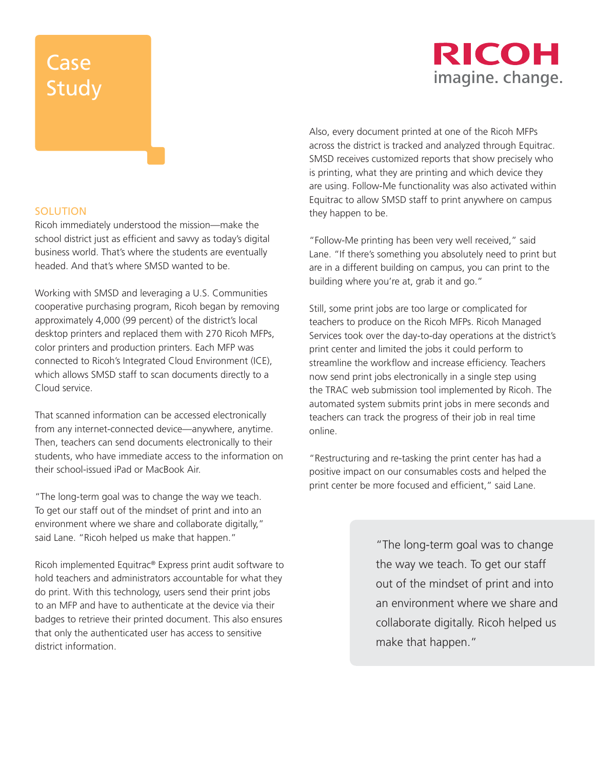# **Case Study**

# RICOH imagine. change.

### **SOLUTION**

Ricoh immediately understood the mission—make the school district just as efficient and savvy as today's digital business world. That's where the students are eventually headed. And that's where SMSD wanted to be.

Working with SMSD and leveraging a U.S. Communities cooperative purchasing program, Ricoh began by removing approximately 4,000 (99 percent) of the district's local desktop printers and replaced them with 270 Ricoh MFPs, color printers and production printers. Each MFP was connected to Ricoh's Integrated Cloud Environment (ICE), which allows SMSD staff to scan documents directly to a Cloud service.

That scanned information can be accessed electronically from any internet-connected device—anywhere, anytime. Then, teachers can send documents electronically to their students, who have immediate access to the information on their school-issued iPad or MacBook Air.

"The long-term goal was to change the way we teach. To get our staff out of the mindset of print and into an environment where we share and collaborate digitally," said Lane. "Ricoh helped us make that happen."

Ricoh implemented Equitrac® Express print audit software to hold teachers and administrators accountable for what they do print. With this technology, users send their print jobs to an MFP and have to authenticate at the device via their badges to retrieve their printed document. This also ensures that only the authenticated user has access to sensitive district information.

Also, every document printed at one of the Ricoh MFPs across the district is tracked and analyzed through Equitrac. SMSD receives customized reports that show precisely who is printing, what they are printing and which device they are using. Follow-Me functionality was also activated within Equitrac to allow SMSD staff to print anywhere on campus they happen to be.

"Follow-Me printing has been very well received," said Lane. "If there's something you absolutely need to print but are in a different building on campus, you can print to the building where you're at, grab it and go."

Still, some print jobs are too large or complicated for teachers to produce on the Ricoh MFPs. Ricoh Managed Services took over the day-to-day operations at the district's print center and limited the jobs it could perform to streamline the workflow and increase efficiency. Teachers now send print jobs electronically in a single step using the TRAC web submission tool implemented by Ricoh. The automated system submits print jobs in mere seconds and teachers can track the progress of their job in real time online.

"Restructuring and re-tasking the print center has had a positive impact on our consumables costs and helped the print center be more focused and efficient," said Lane.

> "The long-term goal was to change the way we teach. To get our staff out of the mindset of print and into an environment where we share and collaborate digitally. Ricoh helped us make that happen."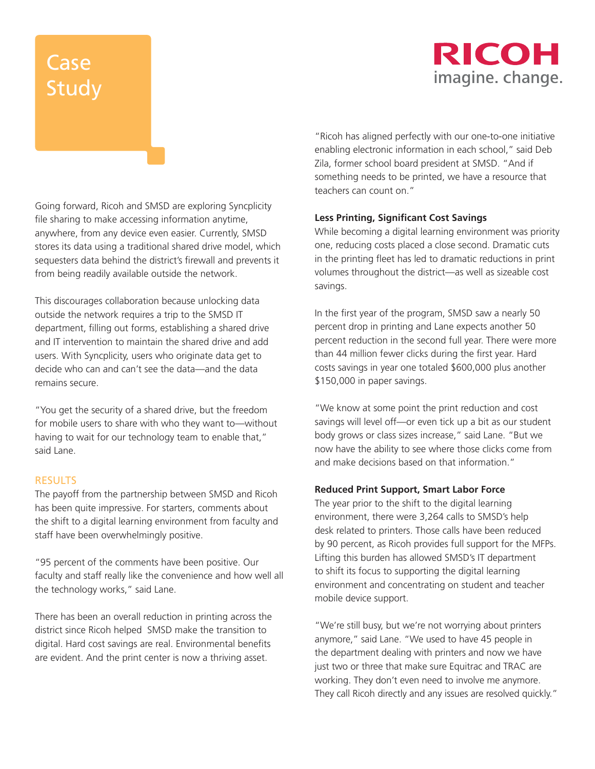# RICOH imagine. change.

# **Case** Study

Going forward, Ricoh and SMSD are exploring Syncplicity file sharing to make accessing information anytime, anywhere, from any device even easier. Currently, SMSD stores its data using a traditional shared drive model, which sequesters data behind the district's firewall and prevents it from being readily available outside the network.

This discourages collaboration because unlocking data outside the network requires a trip to the SMSD IT department, filling out forms, establishing a shared drive and IT intervention to maintain the shared drive and add users. With Syncplicity, users who originate data get to decide who can and can't see the data—and the data remains secure.

"You get the security of a shared drive, but the freedom for mobile users to share with who they want to—without having to wait for our technology team to enable that," said Lane.

### **RESULTS**

The payoff from the partnership between SMSD and Ricoh has been quite impressive. For starters, comments about the shift to a digital learning environment from faculty and staff have been overwhelmingly positive.

"95 percent of the comments have been positive. Our faculty and staff really like the convenience and how well all the technology works," said Lane.

There has been an overall reduction in printing across the district since Ricoh helped SMSD make the transition to digital. Hard cost savings are real. Environmental benefits are evident. And the print center is now a thriving asset.

"Ricoh has aligned perfectly with our one-to-one initiative enabling electronic information in each school," said Deb Zila, former school board president at SMSD. "And if something needs to be printed, we have a resource that teachers can count on."

### **Less Printing, Significant Cost Savings**

While becoming a digital learning environment was priority one, reducing costs placed a close second. Dramatic cuts in the printing fleet has led to dramatic reductions in print volumes throughout the district—as well as sizeable cost savings.

In the first year of the program, SMSD saw a nearly 50 percent drop in printing and Lane expects another 50 percent reduction in the second full year. There were more than 44 million fewer clicks during the first year. Hard costs savings in year one totaled \$600,000 plus another \$150,000 in paper savings.

"We know at some point the print reduction and cost savings will level off—or even tick up a bit as our student body grows or class sizes increase," said Lane. "But we now have the ability to see where those clicks come from and make decisions based on that information."

#### **Reduced Print Support, Smart Labor Force**

The year prior to the shift to the digital learning environment, there were 3,264 calls to SMSD's help desk related to printers. Those calls have been reduced by 90 percent, as Ricoh provides full support for the MFPs. Lifting this burden has allowed SMSD's IT department to shift its focus to supporting the digital learning environment and concentrating on student and teacher mobile device support.

"We're still busy, but we're not worrying about printers anymore," said Lane. "We used to have 45 people in the department dealing with printers and now we have just two or three that make sure Equitrac and TRAC are working. They don't even need to involve me anymore. They call Ricoh directly and any issues are resolved quickly."